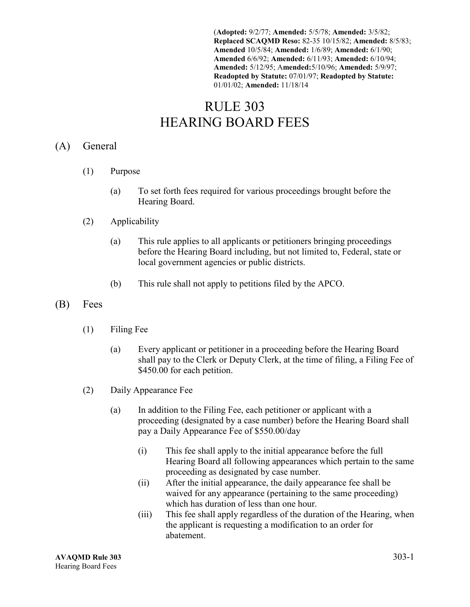(**Adopted:** 9/2/77; **Amended:** 5/5/78; **Amended:** 3/5/82; **Replaced SCAQMD Reso:** 82-35 10/15/82; **Amended:** 8/5/83; **Amended** 10/5/84; **Amended:** 1/6/89; **Amended:** 6/1/90; **Amended** 6/6/92; **Amended:** 6/11/93; **Amended:** 6/10/94; **Amended:** 5/12/95; A**mended:**5/10/96; **Amended:** 5/9/97; **Readopted by Statute:** 07/01/97; **Readopted by Statute:** 01/01/02; **Amended:** 11/18/14

# RULE 303 HEARING BOARD FEES

### (A) General

- (1) Purpose
	- (a) To set forth fees required for various proceedings brought before the Hearing Board.
- (2) Applicability
	- (a) This rule applies to all applicants or petitioners bringing proceedings before the Hearing Board including, but not limited to, Federal, state or local government agencies or public districts.
	- (b) This rule shall not apply to petitions filed by the APCO.
- (B) Fees
	- (1) Filing Fee
		- (a) Every applicant or petitioner in a proceeding before the Hearing Board shall pay to the Clerk or Deputy Clerk, at the time of filing, a Filing Fee of \$450.00 for each petition.
	- (2) Daily Appearance Fee
		- (a) In addition to the Filing Fee, each petitioner or applicant with a proceeding (designated by a case number) before the Hearing Board shall pay a Daily Appearance Fee of \$550.00/day
			- (i) This fee shall apply to the initial appearance before the full Hearing Board all following appearances which pertain to the same proceeding as designated by case number.
			- (ii) After the initial appearance, the daily appearance fee shall be waived for any appearance (pertaining to the same proceeding) which has duration of less than one hour.
			- (iii) This fee shall apply regardless of the duration of the Hearing, when the applicant is requesting a modification to an order for abatement.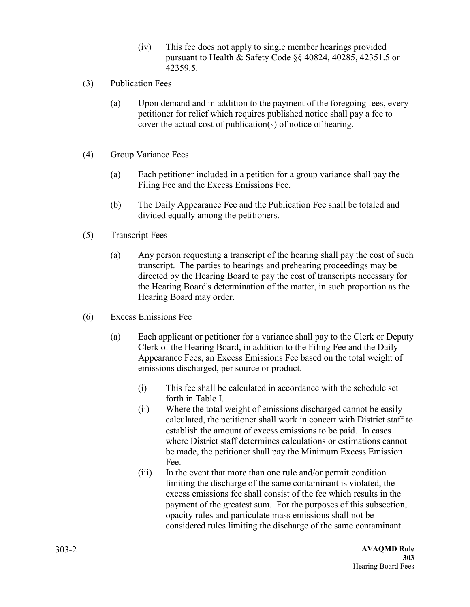- (iv) This fee does not apply to single member hearings provided pursuant to Health & Safety Code §§ 40824, 40285, 42351.5 or 42359.5.
- (3) Publication Fees
	- (a) Upon demand and in addition to the payment of the foregoing fees, every petitioner for relief which requires published notice shall pay a fee to cover the actual cost of publication(s) of notice of hearing.
- (4) Group Variance Fees
	- (a) Each petitioner included in a petition for a group variance shall pay the Filing Fee and the Excess Emissions Fee.
	- (b) The Daily Appearance Fee and the Publication Fee shall be totaled and divided equally among the petitioners.
- (5) Transcript Fees
	- (a) Any person requesting a transcript of the hearing shall pay the cost of such transcript. The parties to hearings and prehearing proceedings may be directed by the Hearing Board to pay the cost of transcripts necessary for the Hearing Board's determination of the matter, in such proportion as the Hearing Board may order.
- (6) Excess Emissions Fee
	- (a) Each applicant or petitioner for a variance shall pay to the Clerk or Deputy Clerk of the Hearing Board, in addition to the Filing Fee and the Daily Appearance Fees, an Excess Emissions Fee based on the total weight of emissions discharged, per source or product.
		- (i) This fee shall be calculated in accordance with the schedule set forth in Table I.
		- (ii) Where the total weight of emissions discharged cannot be easily calculated, the petitioner shall work in concert with District staff to establish the amount of excess emissions to be paid. In cases where District staff determines calculations or estimations cannot be made, the petitioner shall pay the Minimum Excess Emission Fee.
		- (iii) In the event that more than one rule and/or permit condition limiting the discharge of the same contaminant is violated, the excess emissions fee shall consist of the fee which results in the payment of the greatest sum. For the purposes of this subsection, opacity rules and particulate mass emissions shall not be considered rules limiting the discharge of the same contaminant.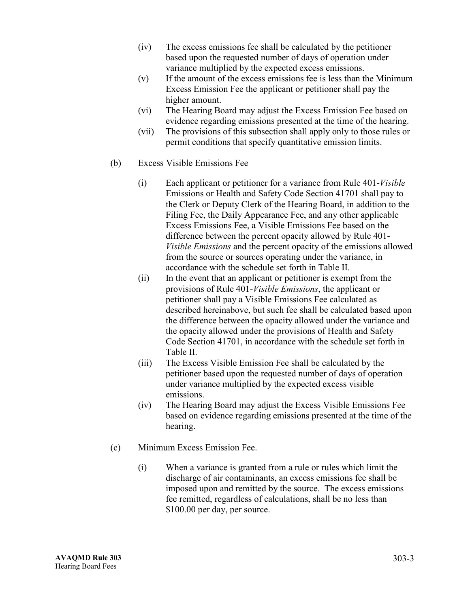- (iv) The excess emissions fee shall be calculated by the petitioner based upon the requested number of days of operation under variance multiplied by the expected excess emissions.
- (v) If the amount of the excess emissions fee is less than the Minimum Excess Emission Fee the applicant or petitioner shall pay the higher amount.
- (vi) The Hearing Board may adjust the Excess Emission Fee based on evidence regarding emissions presented at the time of the hearing.
- (vii) The provisions of this subsection shall apply only to those rules or permit conditions that specify quantitative emission limits.
- (b) Excess Visible Emissions Fee
	- (i) Each applicant or petitioner for a variance from Rule 401-*Visible*  Emissions or Health and Safety Code Section 41701 shall pay to the Clerk or Deputy Clerk of the Hearing Board, in addition to the Filing Fee, the Daily Appearance Fee, and any other applicable Excess Emissions Fee, a Visible Emissions Fee based on the difference between the percent opacity allowed by Rule 401- *Visible Emissions* and the percent opacity of the emissions allowed from the source or sources operating under the variance, in accordance with the schedule set forth in Table II.
	- (ii) In the event that an applicant or petitioner is exempt from the provisions of Rule 401*-Visible Emissions*, the applicant or petitioner shall pay a Visible Emissions Fee calculated as described hereinabove, but such fee shall be calculated based upon the difference between the opacity allowed under the variance and the opacity allowed under the provisions of Health and Safety Code Section 41701, in accordance with the schedule set forth in Table II.
	- (iii) The Excess Visible Emission Fee shall be calculated by the petitioner based upon the requested number of days of operation under variance multiplied by the expected excess visible emissions.
	- (iv) The Hearing Board may adjust the Excess Visible Emissions Fee based on evidence regarding emissions presented at the time of the hearing.
- (c) Minimum Excess Emission Fee.
	- (i) When a variance is granted from a rule or rules which limit the discharge of air contaminants, an excess emissions fee shall be imposed upon and remitted by the source. The excess emissions fee remitted, regardless of calculations, shall be no less than \$100.00 per day, per source.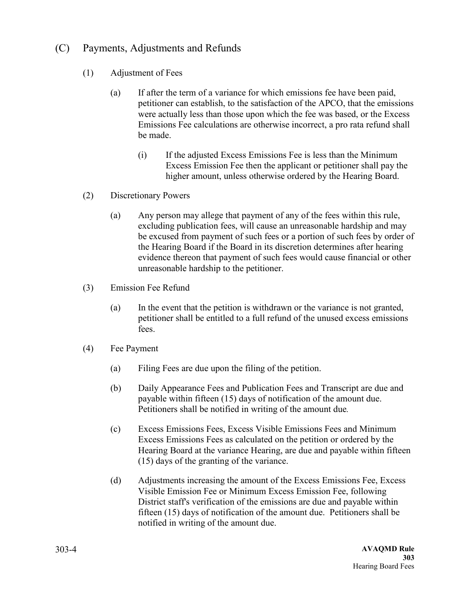## (C) Payments, Adjustments and Refunds

- (1) Adjustment of Fees
	- (a) If after the term of a variance for which emissions fee have been paid, petitioner can establish, to the satisfaction of the APCO, that the emissions were actually less than those upon which the fee was based, or the Excess Emissions Fee calculations are otherwise incorrect, a pro rata refund shall be made.
		- (i) If the adjusted Excess Emissions Fee is less than the Minimum Excess Emission Fee then the applicant or petitioner shall pay the higher amount, unless otherwise ordered by the Hearing Board.
- (2) Discretionary Powers
	- (a) Any person may allege that payment of any of the fees within this rule, excluding publication fees, will cause an unreasonable hardship and may be excused from payment of such fees or a portion of such fees by order of the Hearing Board if the Board in its discretion determines after hearing evidence thereon that payment of such fees would cause financial or other unreasonable hardship to the petitioner.
- (3) Emission Fee Refund
	- (a) In the event that the petition is withdrawn or the variance is not granted, petitioner shall be entitled to a full refund of the unused excess emissions fees.
- (4) Fee Payment
	- (a) Filing Fees are due upon the filing of the petition.
	- (b) Daily Appearance Fees and Publication Fees and Transcript are due and payable within fifteen (15) days of notification of the amount due. Petitioners shall be notified in writing of the amount due*.*
	- (c) Excess Emissions Fees, Excess Visible Emissions Fees and Minimum Excess Emissions Fees as calculated on the petition or ordered by the Hearing Board at the variance Hearing, are due and payable within fifteen (15) days of the granting of the variance.
	- (d) Adjustments increasing the amount of the Excess Emissions Fee, Excess Visible Emission Fee or Minimum Excess Emission Fee, following District staff's verification of the emissions are due and payable within fifteen (15) days of notification of the amount due. Petitioners shall be notified in writing of the amount due.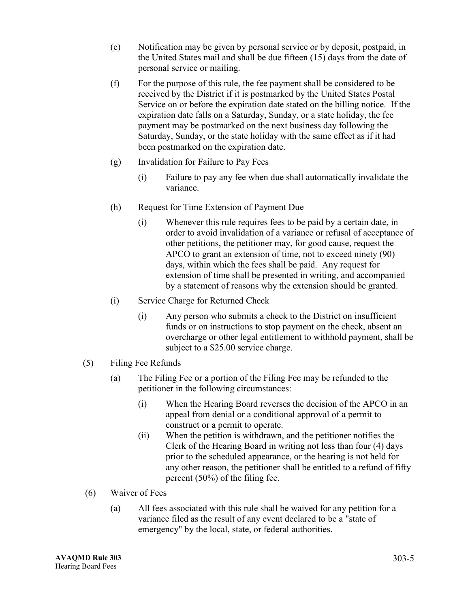- (e) Notification may be given by personal service or by deposit, postpaid, in the United States mail and shall be due fifteen (15) days from the date of personal service or mailing.
- (f) For the purpose of this rule, the fee payment shall be considered to be received by the District if it is postmarked by the United States Postal Service on or before the expiration date stated on the billing notice. If the expiration date falls on a Saturday, Sunday, or a state holiday, the fee payment may be postmarked on the next business day following the Saturday, Sunday, or the state holiday with the same effect as if it had been postmarked on the expiration date.
- (g) Invalidation for Failure to Pay Fees
	- (i) Failure to pay any fee when due shall automatically invalidate the variance.
- (h) Request for Time Extension of Payment Due
	- (i) Whenever this rule requires fees to be paid by a certain date, in order to avoid invalidation of a variance or refusal of acceptance of other petitions, the petitioner may, for good cause, request the APCO to grant an extension of time, not to exceed ninety (90) days, within which the fees shall be paid. Any request for extension of time shall be presented in writing, and accompanied by a statement of reasons why the extension should be granted.
- (i) Service Charge for Returned Check
	- (i) Any person who submits a check to the District on insufficient funds or on instructions to stop payment on the check, absent an overcharge or other legal entitlement to withhold payment, shall be subject to a \$25.00 service charge.
- (5) Filing Fee Refunds
	- (a) The Filing Fee or a portion of the Filing Fee may be refunded to the petitioner in the following circumstances:
		- (i) When the Hearing Board reverses the decision of the APCO in an appeal from denial or a conditional approval of a permit to construct or a permit to operate.
		- (ii) When the petition is withdrawn, and the petitioner notifies the Clerk of the Hearing Board in writing not less than four (4) days prior to the scheduled appearance, or the hearing is not held for any other reason, the petitioner shall be entitled to a refund of fifty percent (50%) of the filing fee.
- (6) Waiver of Fees
	- (a) All fees associated with this rule shall be waived for any petition for a variance filed as the result of any event declared to be a "state of emergency" by the local, state, or federal authorities.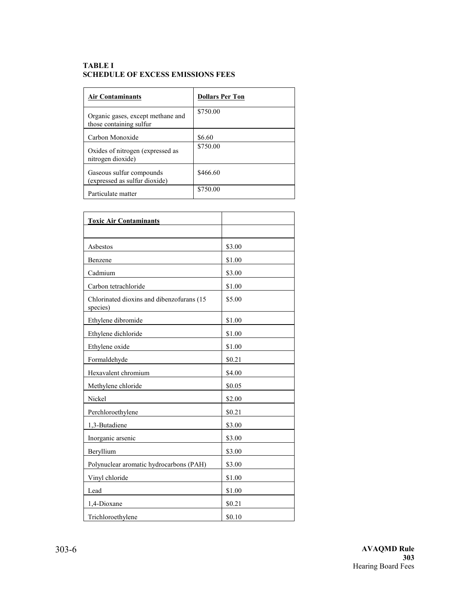#### **TABLE I SCHEDULE OF EXCESS EMISSIONS FEES**

| <b>Air Contaminants</b>                                      | <b>Dollars Per Ton</b> |
|--------------------------------------------------------------|------------------------|
| Organic gases, except methane and<br>those containing sulfur | \$750.00               |
| Carbon Monoxide                                              | \$6.60                 |
| Oxides of nitrogen (expressed as<br>nitrogen dioxide)        | \$750.00               |
| Gaseous sulfur compounds<br>(expressed as sulfur dioxide)    | \$466.60               |
| Particulate matter                                           | \$750.00               |

| <b>Toxic Air Contaminants</b>                         |        |
|-------------------------------------------------------|--------|
|                                                       |        |
| Asbestos                                              | \$3.00 |
| Benzene                                               | \$1.00 |
| Cadmium                                               | \$3.00 |
| Carbon tetrachloride                                  | \$1.00 |
| Chlorinated dioxins and dibenzofurans (15<br>species) | \$5.00 |
| Ethylene dibromide                                    | \$1.00 |
| Ethylene dichloride                                   | \$1.00 |
| Ethylene oxide                                        | \$1.00 |
| Formaldehyde                                          | \$0.21 |
| Hexavalent chromium                                   | \$4.00 |
| Methylene chloride                                    | \$0.05 |
| Nickel                                                | \$2.00 |
| Perchloroethylene                                     | \$0.21 |
| 1,3-Butadiene                                         | \$3.00 |
| Inorganic arsenic                                     | \$3.00 |
| Beryllium                                             | \$3.00 |
| Polynuclear aromatic hydrocarbons (PAH)               | \$3.00 |
| Vinyl chloride                                        | \$1.00 |
| Lead                                                  | \$1.00 |
| 1,4-Dioxane                                           | \$0.21 |
| Trichloroethylene                                     | \$0.10 |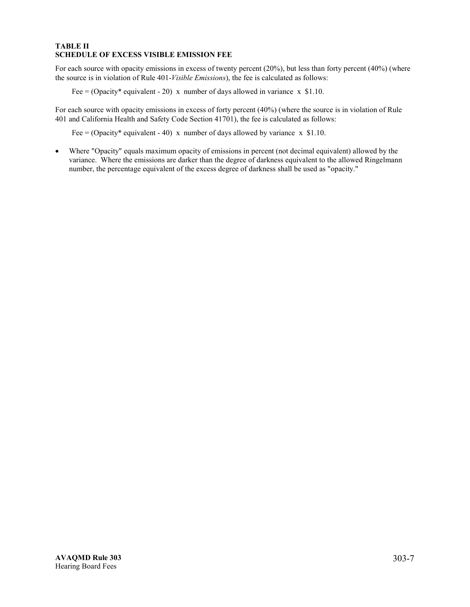### **TABLE II SCHEDULE OF EXCESS VISIBLE EMISSION FEE**

For each source with opacity emissions in excess of twenty percent (20%), but less than forty percent (40%) (where the source is in violation of Rule 401-*Visible Emissions*), the fee is calculated as follows:

Fee = (Opacity\* equivalent - 20) x number of days allowed in variance x \$1.10.

For each source with opacity emissions in excess of forty percent (40%) (where the source is in violation of Rule 401 and California Health and Safety Code Section 41701), the fee is calculated as follows:

Fee = (Opacity\* equivalent - 40) x number of days allowed by variance x \$1.10.

• Where "Opacity" equals maximum opacity of emissions in percent (not decimal equivalent) allowed by the variance. Where the emissions are darker than the degree of darkness equivalent to the allowed Ringelmann number, the percentage equivalent of the excess degree of darkness shall be used as "opacity."